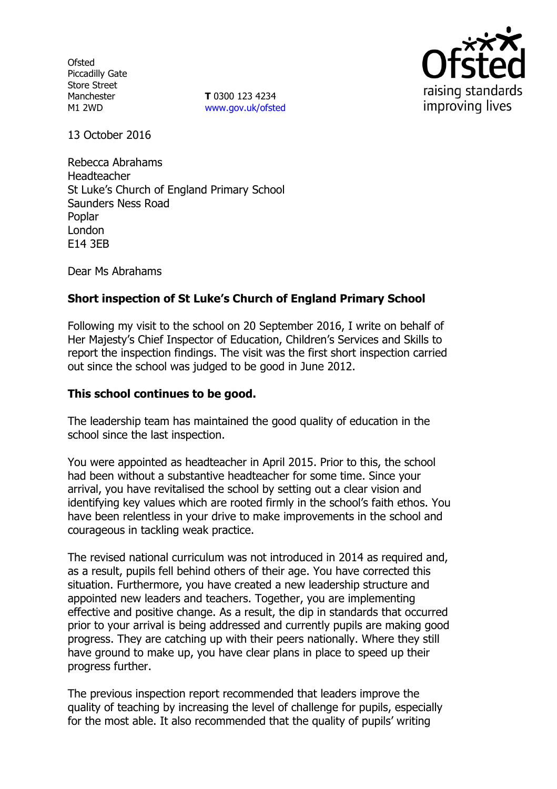**Ofsted** Piccadilly Gate Store Street Manchester M1 2WD

**T** 0300 123 4234 [www.gov.uk/ofsted](http://www.gov.uk/ofsted)



13 October 2016

Rebecca Abrahams Headteacher St Luke's Church of England Primary School Saunders Ness Road Poplar London E14 3EB

Dear Ms Abrahams

# **Short inspection of St Luke's Church of England Primary School**

Following my visit to the school on 20 September 2016, I write on behalf of Her Majesty's Chief Inspector of Education, Children's Services and Skills to report the inspection findings. The visit was the first short inspection carried out since the school was judged to be good in June 2012.

### **This school continues to be good.**

The leadership team has maintained the good quality of education in the school since the last inspection.

You were appointed as headteacher in April 2015. Prior to this, the school had been without a substantive headteacher for some time. Since your arrival, you have revitalised the school by setting out a clear vision and identifying key values which are rooted firmly in the school's faith ethos. You have been relentless in your drive to make improvements in the school and courageous in tackling weak practice.

The revised national curriculum was not introduced in 2014 as required and, as a result, pupils fell behind others of their age. You have corrected this situation. Furthermore, you have created a new leadership structure and appointed new leaders and teachers. Together, you are implementing effective and positive change. As a result, the dip in standards that occurred prior to your arrival is being addressed and currently pupils are making good progress. They are catching up with their peers nationally. Where they still have ground to make up, you have clear plans in place to speed up their progress further.

The previous inspection report recommended that leaders improve the quality of teaching by increasing the level of challenge for pupils, especially for the most able. It also recommended that the quality of pupils' writing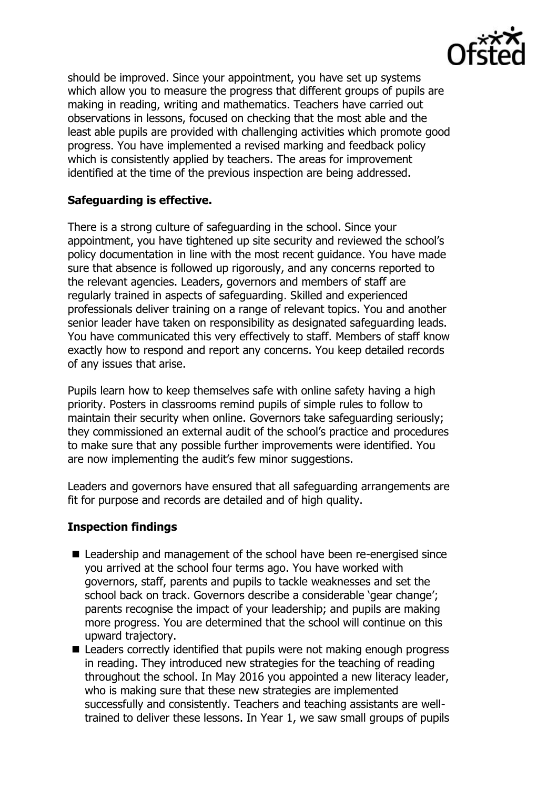

should be improved. Since your appointment, you have set up systems which allow you to measure the progress that different groups of pupils are making in reading, writing and mathematics. Teachers have carried out observations in lessons, focused on checking that the most able and the least able pupils are provided with challenging activities which promote good progress. You have implemented a revised marking and feedback policy which is consistently applied by teachers. The areas for improvement identified at the time of the previous inspection are being addressed.

## **Safeguarding is effective.**

There is a strong culture of safeguarding in the school. Since your appointment, you have tightened up site security and reviewed the school's policy documentation in line with the most recent guidance. You have made sure that absence is followed up rigorously, and any concerns reported to the relevant agencies. Leaders, governors and members of staff are regularly trained in aspects of safeguarding. Skilled and experienced professionals deliver training on a range of relevant topics. You and another senior leader have taken on responsibility as designated safeguarding leads. You have communicated this very effectively to staff. Members of staff know exactly how to respond and report any concerns. You keep detailed records of any issues that arise.

Pupils learn how to keep themselves safe with online safety having a high priority. Posters in classrooms remind pupils of simple rules to follow to maintain their security when online. Governors take safeguarding seriously; they commissioned an external audit of the school's practice and procedures to make sure that any possible further improvements were identified. You are now implementing the audit's few minor suggestions.

Leaders and governors have ensured that all safeguarding arrangements are fit for purpose and records are detailed and of high quality.

### **Inspection findings**

- Leadership and management of the school have been re-energised since you arrived at the school four terms ago. You have worked with governors, staff, parents and pupils to tackle weaknesses and set the school back on track. Governors describe a considerable 'gear change'; parents recognise the impact of your leadership; and pupils are making more progress. You are determined that the school will continue on this upward trajectory.
- Leaders correctly identified that pupils were not making enough progress in reading. They introduced new strategies for the teaching of reading throughout the school. In May 2016 you appointed a new literacy leader, who is making sure that these new strategies are implemented successfully and consistently. Teachers and teaching assistants are welltrained to deliver these lessons. In Year 1, we saw small groups of pupils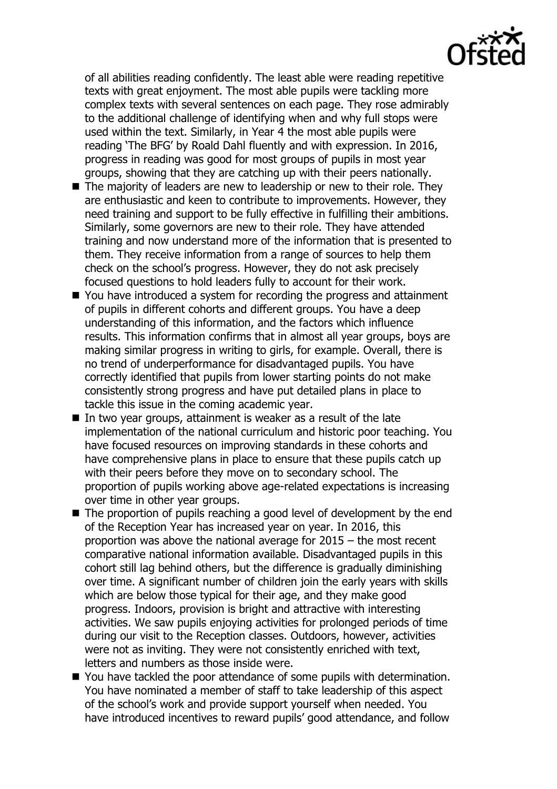of all abilities reading confidently. The least able were reading repetitive texts with great enjoyment. The most able pupils were tackling more complex texts with several sentences on each page. They rose admirably to the additional challenge of identifying when and why full stops were used within the text. Similarly, in Year 4 the most able pupils were reading 'The BFG' by Roald Dahl fluently and with expression. In 2016, progress in reading was good for most groups of pupils in most year groups, showing that they are catching up with their peers nationally.

- The majority of leaders are new to leadership or new to their role. They are enthusiastic and keen to contribute to improvements. However, they need training and support to be fully effective in fulfilling their ambitions. Similarly, some governors are new to their role. They have attended training and now understand more of the information that is presented to them. They receive information from a range of sources to help them check on the school's progress. However, they do not ask precisely focused questions to hold leaders fully to account for their work.
- You have introduced a system for recording the progress and attainment of pupils in different cohorts and different groups. You have a deep understanding of this information, and the factors which influence results. This information confirms that in almost all year groups, boys are making similar progress in writing to girls, for example. Overall, there is no trend of underperformance for disadvantaged pupils. You have correctly identified that pupils from lower starting points do not make consistently strong progress and have put detailed plans in place to tackle this issue in the coming academic year.
- In two year groups, attainment is weaker as a result of the late implementation of the national curriculum and historic poor teaching. You have focused resources on improving standards in these cohorts and have comprehensive plans in place to ensure that these pupils catch up with their peers before they move on to secondary school. The proportion of pupils working above age-related expectations is increasing over time in other year groups.
- The proportion of pupils reaching a good level of development by the end of the Reception Year has increased year on year. In 2016, this proportion was above the national average for 2015 – the most recent comparative national information available. Disadvantaged pupils in this cohort still lag behind others, but the difference is gradually diminishing over time. A significant number of children join the early years with skills which are below those typical for their age, and they make good progress. Indoors, provision is bright and attractive with interesting activities. We saw pupils enjoying activities for prolonged periods of time during our visit to the Reception classes. Outdoors, however, activities were not as inviting. They were not consistently enriched with text, letters and numbers as those inside were.
- You have tackled the poor attendance of some pupils with determination. You have nominated a member of staff to take leadership of this aspect of the school's work and provide support yourself when needed. You have introduced incentives to reward pupils' good attendance, and follow